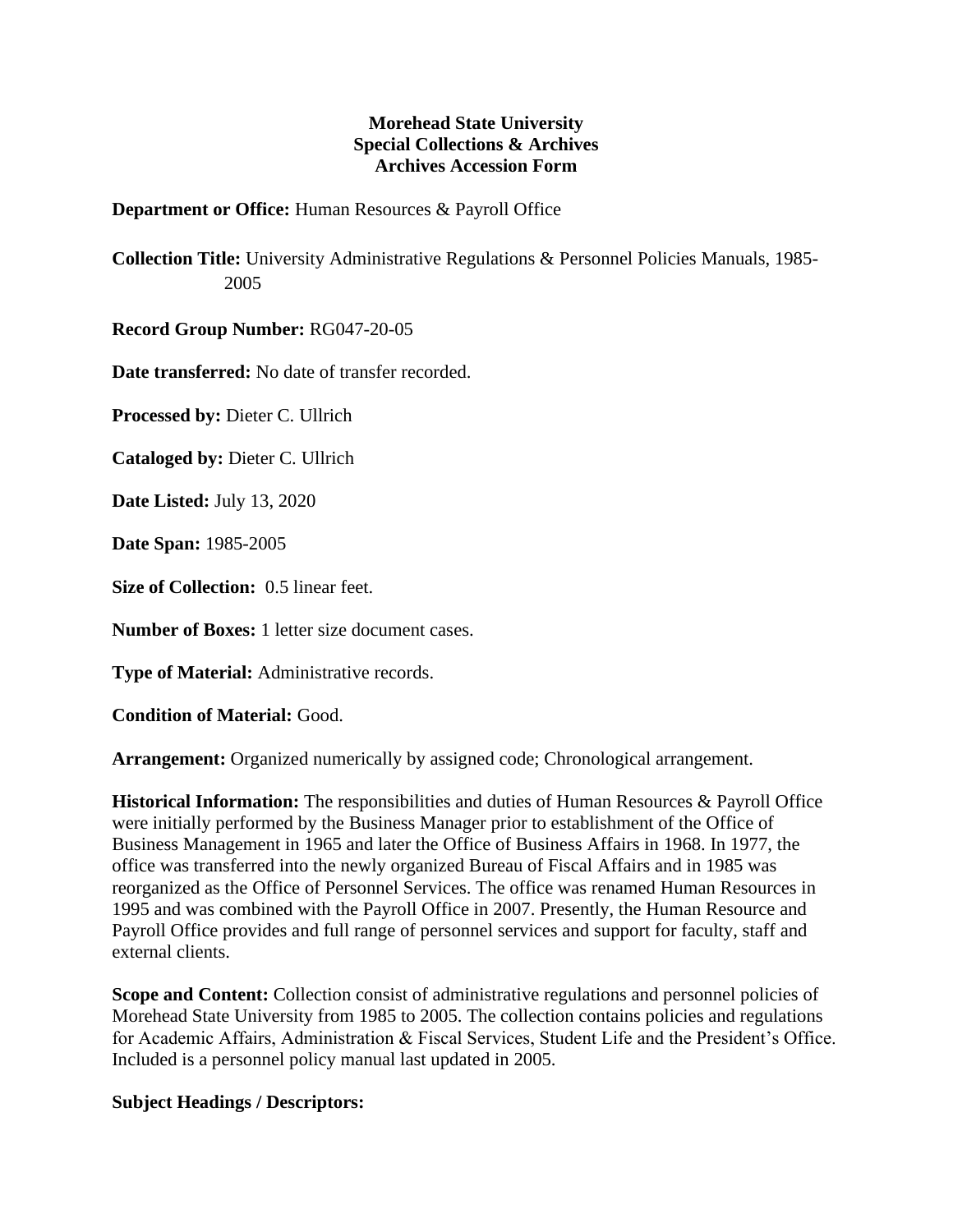## **Morehead State University Special Collections & Archives Archives Accession Form**

## **Department or Office:** Human Resources & Payroll Office

**Collection Title:** University Administrative Regulations & Personnel Policies Manuals, 1985- 2005

**Record Group Number:** RG047-20-05

**Date transferred:** No date of transfer recorded.

**Processed by:** Dieter C. Ullrich

**Cataloged by:** Dieter C. Ullrich

**Date Listed:** July 13, 2020

**Date Span:** 1985-2005

**Size of Collection:** 0.5 linear feet.

**Number of Boxes:** 1 letter size document cases.

**Type of Material:** Administrative records.

**Condition of Material:** Good.

**Arrangement:** Organized numerically by assigned code; Chronological arrangement.

**Historical Information:** The responsibilities and duties of Human Resources & Payroll Office were initially performed by the Business Manager prior to establishment of the Office of Business Management in 1965 and later the Office of Business Affairs in 1968. In 1977, the office was transferred into the newly organized Bureau of Fiscal Affairs and in 1985 was reorganized as the Office of Personnel Services. The office was renamed Human Resources in 1995 and was combined with the Payroll Office in 2007. Presently, the Human Resource and Payroll Office provides and full range of personnel services and support for faculty, staff and external clients.

**Scope and Content:** Collection consist of administrative regulations and personnel policies of Morehead State University from 1985 to 2005. The collection contains policies and regulations for Academic Affairs, Administration & Fiscal Services, Student Life and the President's Office. Included is a personnel policy manual last updated in 2005.

## **Subject Headings / Descriptors:**